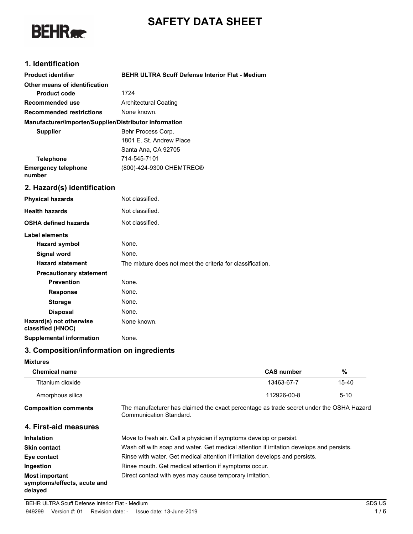# **SAFETY DATA SHEET**



### **1. Identification**

| <b>Product identifier</b>                              | <b>BEHR ULTRA Scuff Defense Interior Flat - Medium</b>     |
|--------------------------------------------------------|------------------------------------------------------------|
| Other means of identification                          |                                                            |
| <b>Product code</b>                                    | 1724                                                       |
| <b>Recommended use</b>                                 | <b>Architectural Coating</b>                               |
| <b>Recommended restrictions</b>                        | None known.                                                |
| Manufacturer/Importer/Supplier/Distributor information |                                                            |
| <b>Supplier</b>                                        | Behr Process Corp.                                         |
|                                                        | 1801 E. St. Andrew Place                                   |
|                                                        | Santa Ana, CA 92705                                        |
| <b>Telephone</b>                                       | 714-545-7101                                               |
| <b>Emergency telephone</b><br>number                   | (800)-424-9300 CHEMTREC®                                   |
| 2. Hazard(s) identification                            |                                                            |
| <b>Physical hazards</b>                                | Not classified.                                            |
| <b>Health hazards</b>                                  | Not classified.                                            |
| <b>OSHA defined hazards</b>                            | Not classified.                                            |
| <b>Label elements</b>                                  |                                                            |
| <b>Hazard symbol</b>                                   | None.                                                      |
| <b>Signal word</b>                                     | None.                                                      |
| <b>Hazard statement</b>                                | The mixture does not meet the criteria for classification. |
| <b>Precautionary statement</b>                         |                                                            |
| <b>Prevention</b>                                      | None.                                                      |
| <b>Response</b>                                        | None.                                                      |
| <b>Storage</b>                                         | None.                                                      |
| <b>Disposal</b>                                        | None.                                                      |
| Hazard(s) not otherwise<br>classified (HNOC)           | None known.                                                |
| <b>Supplemental information</b>                        | None.                                                      |

## **3. Composition/information on ingredients**

#### **Mixtures**

| <b>Chemical name</b>                                            |                                                                                                                    | <b>CAS number</b> | %        |
|-----------------------------------------------------------------|--------------------------------------------------------------------------------------------------------------------|-------------------|----------|
| Titanium dioxide                                                |                                                                                                                    | 13463-67-7        | 15-40    |
| Amorphous silica                                                |                                                                                                                    | 112926-00-8       | $5 - 10$ |
| <b>Composition comments</b>                                     | The manufacturer has claimed the exact percentage as trade secret under the OSHA Hazard<br>Communication Standard. |                   |          |
| 4. First-aid measures                                           |                                                                                                                    |                   |          |
| <b>Inhalation</b>                                               | Move to fresh air. Call a physician if symptoms develop or persist.                                                |                   |          |
| <b>Skin contact</b>                                             | Wash off with soap and water. Get medical attention if irritation develops and persists.                           |                   |          |
| Eye contact                                                     | Rinse with water. Get medical attention if irritation develops and persists.                                       |                   |          |
| Ingestion                                                       | Rinse mouth. Get medical attention if symptoms occur.                                                              |                   |          |
| <b>Most important</b><br>symptoms/effects, acute and<br>delayed | Direct contact with eyes may cause temporary irritation.                                                           |                   |          |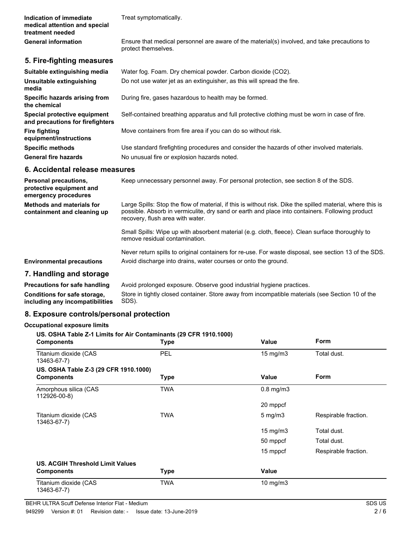**Indication of immediate** Treat symptomatically. **medical attention and special treatment needed** Ensure that medical personnel are aware of the material(s) involved, and take precautions to protect themselves. **General information 5. Fire-fighting measures Suitable extinguishing media** Water fog. Foam. Dry chemical powder. Carbon dioxide (CO2). **Unsuitable extinguishing** Do not use water jet as an extinguisher, as this will spread the fire. **media Specific hazards arising from** During fire, gases hazardous to health may be formed. **the chemical Special protective equipment** Self-contained breathing apparatus and full protective clothing must be worn in case of fire. **and precautions for firefighters Fire fighting** Move containers from fire area if you can do so without risk. **equipment/instructions Specific methods** Use standard firefighting procedures and consider the hazards of other involved materials. General fire hazards **No unusual fire or explosion hazards noted. 6. Accidental release measures Personal precautions,** Keep unnecessary personnel away. For personal protection, see section 8 of the SDS.

**protective equipment and emergency procedures** Large Spills: Stop the flow of material, if this is without risk. Dike the spilled material, where this is possible. Absorb in vermiculite, dry sand or earth and place into containers. Following product recovery, flush area with water. Small Spills: Wipe up with absorbent material (e.g. cloth, fleece). Clean surface thoroughly to remove residual contamination. Never return spills to original containers for re-use. For waste disposal, see section 13 of the SDS. **Methods and materials for containment and cleaning up Environmental precautions** Avoid discharge into drains, water courses or onto the ground. **7. Handling and storage Precautions for safe handling** Avoid prolonged exposure. Observe good industrial hygiene practices.

Store in tightly closed container. Store away from incompatible materials (see Section 10 of the SDS). **Conditions for safe storage, including any incompatibilities**

### **8. Exposure controls/personal protection**

#### **Occupational exposure limits**

| US. OSHA Table Z-1 Limits for Air Contaminants (29 CFR 1910.1000)<br><b>Components</b> | <b>Type</b> | Value             | <b>Form</b>          |
|----------------------------------------------------------------------------------------|-------------|-------------------|----------------------|
| Titanium dioxide (CAS<br>13463-67-7)                                                   | PEL         | $15 \text{ mg/m}$ | Total dust.          |
| US. OSHA Table Z-3 (29 CFR 1910.1000)                                                  |             |                   |                      |
| <b>Components</b>                                                                      | <b>Type</b> | Value             | <b>Form</b>          |
| Amorphous silica (CAS<br>112926-00-8)                                                  | <b>TWA</b>  | $0.8$ mg/m $3$    |                      |
|                                                                                        |             | 20 mppcf          |                      |
| Titanium dioxide (CAS<br>13463-67-7)                                                   | <b>TWA</b>  | $5 \text{ mg/m}$  | Respirable fraction. |
|                                                                                        |             | $15 \text{ mg/m}$ | Total dust.          |
|                                                                                        |             | 50 mppcf          | Total dust.          |
|                                                                                        |             | 15 mppcf          | Respirable fraction. |
| US. ACGIH Threshold Limit Values                                                       |             |                   |                      |
| <b>Components</b>                                                                      | <b>Type</b> | Value             |                      |
| Titanium dioxide (CAS<br>13463-67-7)                                                   | TWA         | 10 $mg/m3$        |                      |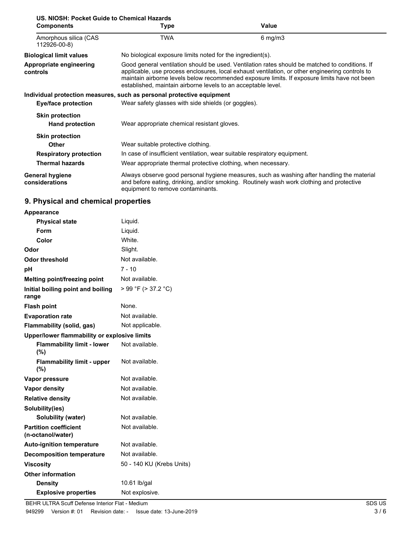| US. NIOSH: Pocket Guide to Chemical Hazards<br><b>Components</b> | Type                                                                                                                                                                                                                                                                                                                                                               | Value                                                                                                                                                                                  |
|------------------------------------------------------------------|--------------------------------------------------------------------------------------------------------------------------------------------------------------------------------------------------------------------------------------------------------------------------------------------------------------------------------------------------------------------|----------------------------------------------------------------------------------------------------------------------------------------------------------------------------------------|
| Amorphous silica (CAS<br>112926-00-8)                            | <b>TWA</b>                                                                                                                                                                                                                                                                                                                                                         | $6$ mg/m $3$                                                                                                                                                                           |
| <b>Biological limit values</b>                                   | No biological exposure limits noted for the ingredient(s).                                                                                                                                                                                                                                                                                                         |                                                                                                                                                                                        |
| <b>Appropriate engineering</b><br>controls                       | Good general ventilation should be used. Ventilation rates should be matched to conditions. If<br>applicable, use process enclosures, local exhaust ventilation, or other engineering controls to<br>maintain airborne levels below recommended exposure limits. If exposure limits have not been<br>established, maintain airborne levels to an acceptable level. |                                                                                                                                                                                        |
|                                                                  | Individual protection measures, such as personal protective equipment                                                                                                                                                                                                                                                                                              |                                                                                                                                                                                        |
| Eye/face protection                                              | Wear safety glasses with side shields (or goggles).                                                                                                                                                                                                                                                                                                                |                                                                                                                                                                                        |
| <b>Skin protection</b>                                           |                                                                                                                                                                                                                                                                                                                                                                    |                                                                                                                                                                                        |
| <b>Hand protection</b>                                           | Wear appropriate chemical resistant gloves.                                                                                                                                                                                                                                                                                                                        |                                                                                                                                                                                        |
| <b>Skin protection</b>                                           |                                                                                                                                                                                                                                                                                                                                                                    |                                                                                                                                                                                        |
| Other                                                            | Wear suitable protective clothing.                                                                                                                                                                                                                                                                                                                                 |                                                                                                                                                                                        |
| <b>Respiratory protection</b>                                    | In case of insufficient ventilation, wear suitable respiratory equipment.                                                                                                                                                                                                                                                                                          |                                                                                                                                                                                        |
| <b>Thermal hazards</b>                                           | Wear appropriate thermal protective clothing, when necessary.                                                                                                                                                                                                                                                                                                      |                                                                                                                                                                                        |
| <b>General hygiene</b><br>considerations                         | equipment to remove contaminants.                                                                                                                                                                                                                                                                                                                                  | Always observe good personal hygiene measures, such as washing after handling the material<br>and before eating, drinking, and/or smoking. Routinely wash work clothing and protective |

## **9. Physical and chemical properties**

| <b>Appearance</b>                                 |                           |  |
|---------------------------------------------------|---------------------------|--|
| <b>Physical state</b>                             | Liquid.                   |  |
| Form                                              | Liquid.                   |  |
| Color                                             | White.                    |  |
| Odor                                              | Slight.                   |  |
| Odor threshold                                    | Not available.            |  |
| рH                                                | 7 - 10                    |  |
| Melting point/freezing point                      | Not available.            |  |
| Initial boiling point and boiling<br>range        | > 99 °F (> 37.2 °C)       |  |
| <b>Flash point</b>                                | None.                     |  |
| <b>Evaporation rate</b>                           | Not available.            |  |
| Flammability (solid, gas)                         | Not applicable.           |  |
| Upper/lower flammability or explosive limits      |                           |  |
| <b>Flammability limit - lower</b><br>(%)          | Not available.            |  |
| <b>Flammability limit - upper</b><br>(%)          | Not available.            |  |
| Vapor pressure                                    | Not available.            |  |
| <b>Vapor density</b>                              | Not available.            |  |
| <b>Relative density</b>                           | Not available.            |  |
| Solubility(ies)                                   |                           |  |
| Solubility (water)                                | Not available.            |  |
| <b>Partition coefficient</b><br>(n-octanol/water) | Not available.            |  |
| <b>Auto-ignition temperature</b>                  | Not available.            |  |
| <b>Decomposition temperature</b>                  | Not available.            |  |
| <b>Viscosity</b>                                  | 50 - 140 KU (Krebs Units) |  |
| <b>Other information</b>                          |                           |  |
| <b>Density</b>                                    | 10.61 lb/gal              |  |
| <b>Explosive properties</b>                       | Not explosive.            |  |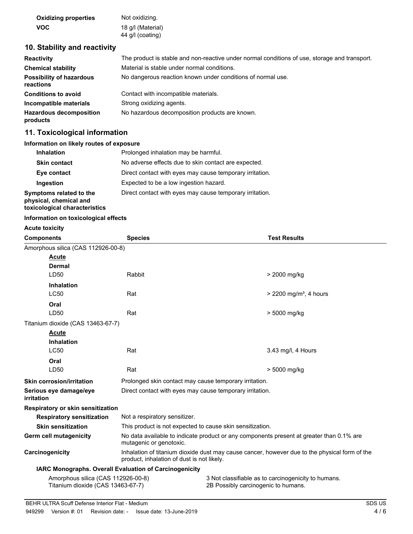| <b>Oxidizing properties</b> | Not oxidizing.    |
|-----------------------------|-------------------|
| <b>VOC</b>                  | 18 g/l (Material) |
|                             | 44 g/l (coating)  |

### **10. Stability and reactivity**

| <b>Reactivity</b>                            | The product is stable and non-reactive under normal conditions of use, storage and transport. |
|----------------------------------------------|-----------------------------------------------------------------------------------------------|
| <b>Chemical stability</b>                    | Material is stable under normal conditions.                                                   |
| <b>Possibility of hazardous</b><br>reactions | No dangerous reaction known under conditions of normal use.                                   |
| <b>Conditions to avoid</b>                   | Contact with incompatible materials.                                                          |
| Incompatible materials                       | Strong oxidizing agents.                                                                      |
| <b>Hazardous decomposition</b><br>products   | No hazardous decomposition products are known.                                                |

### **11. Toxicological information**

### **Information on likely routes of exposure**

| <b>Inhalation</b>                                                                  | Prolonged inhalation may be harmful.                     |
|------------------------------------------------------------------------------------|----------------------------------------------------------|
| <b>Skin contact</b>                                                                | No adverse effects due to skin contact are expected.     |
| Eye contact                                                                        | Direct contact with eyes may cause temporary irritation. |
| Ingestion                                                                          | Expected to be a low ingestion hazard.                   |
| Symptoms related to the<br>physical, chemical and<br>toxicological characteristics | Direct contact with eyes may cause temporary irritation. |

#### **Information on toxicological effects**

#### **Acute toxicity**

| <b>Components</b>                                                       | <b>Species</b>                                                                                                                              | <b>Test Results</b>                                                                        |
|-------------------------------------------------------------------------|---------------------------------------------------------------------------------------------------------------------------------------------|--------------------------------------------------------------------------------------------|
| Amorphous silica (CAS 112926-00-8)                                      |                                                                                                                                             |                                                                                            |
| <b>Acute</b>                                                            |                                                                                                                                             |                                                                                            |
| Dermal                                                                  |                                                                                                                                             |                                                                                            |
| LD50                                                                    | Rabbit                                                                                                                                      | > 2000 mg/kg                                                                               |
| <b>Inhalation</b>                                                       |                                                                                                                                             |                                                                                            |
| <b>LC50</b>                                                             | Rat                                                                                                                                         | $>$ 2200 mg/m <sup>3</sup> , 4 hours                                                       |
| Oral                                                                    |                                                                                                                                             |                                                                                            |
| LD50                                                                    | Rat                                                                                                                                         | > 5000 mg/kg                                                                               |
| Titanium dioxide (CAS 13463-67-7)                                       |                                                                                                                                             |                                                                                            |
| <b>Acute</b>                                                            |                                                                                                                                             |                                                                                            |
| <b>Inhalation</b>                                                       |                                                                                                                                             |                                                                                            |
| <b>LC50</b>                                                             | Rat                                                                                                                                         | 3.43 mg/l, 4 Hours                                                                         |
| Oral                                                                    |                                                                                                                                             |                                                                                            |
| LD50                                                                    | Rat                                                                                                                                         | > 5000 mg/kg                                                                               |
| <b>Skin corrosion/irritation</b>                                        | Prolonged skin contact may cause temporary irritation.                                                                                      |                                                                                            |
| Serious eye damage/eye<br>irritation                                    | Direct contact with eyes may cause temporary irritation.                                                                                    |                                                                                            |
| Respiratory or skin sensitization                                       |                                                                                                                                             |                                                                                            |
| <b>Respiratory sensitization</b>                                        | Not a respiratory sensitizer.                                                                                                               |                                                                                            |
| <b>Skin sensitization</b>                                               | This product is not expected to cause skin sensitization.                                                                                   |                                                                                            |
| Germ cell mutagenicity                                                  | No data available to indicate product or any components present at greater than 0.1% are<br>mutagenic or genotoxic.                         |                                                                                            |
| Carcinogenicity                                                         | Inhalation of titanium dioxide dust may cause cancer, however due to the physical form of the<br>product, inhalation of dust is not likely. |                                                                                            |
|                                                                         | <b>IARC Monographs. Overall Evaluation of Carcinogenicity</b>                                                                               |                                                                                            |
| Amorphous silica (CAS 112926-00-8)<br>Titanium dioxide (CAS 13463-67-7) |                                                                                                                                             | 3 Not classifiable as to carcinogenicity to humans.<br>2B Possibly carcinogenic to humans. |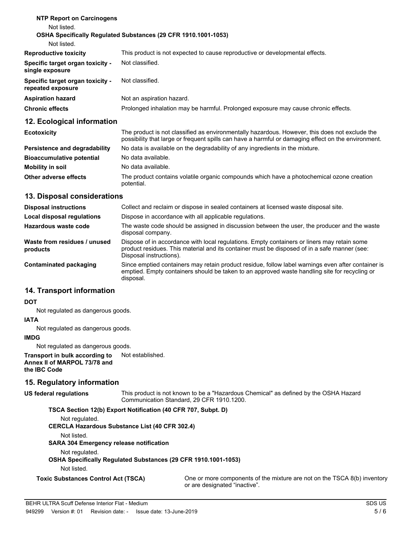| <b>NTP Report on Carcinogens</b>                      |                                                                                    |
|-------------------------------------------------------|------------------------------------------------------------------------------------|
| Not listed.                                           |                                                                                    |
|                                                       | <b>OSHA Specifically Requiated Substances (29 CFR 1910.1001-1053)</b>              |
| Not listed.                                           |                                                                                    |
| <b>Reproductive toxicity</b>                          | This product is not expected to cause reproductive or developmental effects.       |
| Specific target organ toxicity -<br>single exposure   | Not classified.                                                                    |
| Specific target organ toxicity -<br>repeated exposure | Not classified.                                                                    |
| <b>Aspiration hazard</b>                              | Not an aspiration hazard.                                                          |
| <b>Chronic effects</b>                                | Prolonged inhalation may be harmful. Prolonged exposure may cause chronic effects. |
| 12. Ecological information                            |                                                                                    |

| <b>Ecotoxicity</b>               | The product is not classified as environmentally hazardous. However, this does not exclude the<br>possibility that large or frequent spills can have a harmful or damaging effect on the environment. |
|----------------------------------|-------------------------------------------------------------------------------------------------------------------------------------------------------------------------------------------------------|
| Persistence and degradability    | No data is available on the degradability of any ingredients in the mixture.                                                                                                                          |
| <b>Bioaccumulative potential</b> | No data available.                                                                                                                                                                                    |
| Mobility in soil                 | No data available.                                                                                                                                                                                    |
| Other adverse effects            | The product contains volatile organic compounds which have a photochemical ozone creation<br>potential.                                                                                               |

### **13. Disposal considerations**

| <b>Disposal instructions</b>             | Collect and reclaim or dispose in sealed containers at licensed waste disposal site.                                                                                                                                   |
|------------------------------------------|------------------------------------------------------------------------------------------------------------------------------------------------------------------------------------------------------------------------|
| Local disposal regulations               | Dispose in accordance with all applicable regulations.                                                                                                                                                                 |
| Hazardous waste code                     | The waste code should be assigned in discussion between the user, the producer and the waste<br>disposal company.                                                                                                      |
| Waste from residues / unused<br>products | Dispose of in accordance with local regulations. Empty containers or liners may retain some<br>product residues. This material and its container must be disposed of in a safe manner (see:<br>Disposal instructions). |
| Contaminated packaging                   | Since emptied containers may retain product residue, follow label warnings even after container is<br>emptied. Empty containers should be taken to an approved waste handling site for recycling or<br>disposal.       |

### **14. Transport information**

### **DOT**

Not regulated as dangerous goods.

### **IATA**

Not regulated as dangerous goods.

### **IMDG**

Not regulated as dangerous goods.

**Transport in bulk according to** Not established. **Annex II of MARPOL 73/78 and the IBC Code**

### **15. Regulatory information**

#### This product is not known to be a "Hazardous Chemical" as defined by the OSHA Hazard Communication Standard, 29 CFR 1910.1200. **US federal regulations**

**TSCA Section 12(b) Export Notification (40 CFR 707, Subpt. D)** Not regulated. **CERCLA Hazardous Substance List (40 CFR 302.4)** Not listed. **SARA 304 Emergency release notification** Not regulated. **OSHA Specifically Regulated Substances (29 CFR 1910.1001-1053)** Not listed. **Toxic Substances Control Act (TSCA)** One or more components of the mixture are not on the TSCA 8(b) inventory or are designated "inactive".